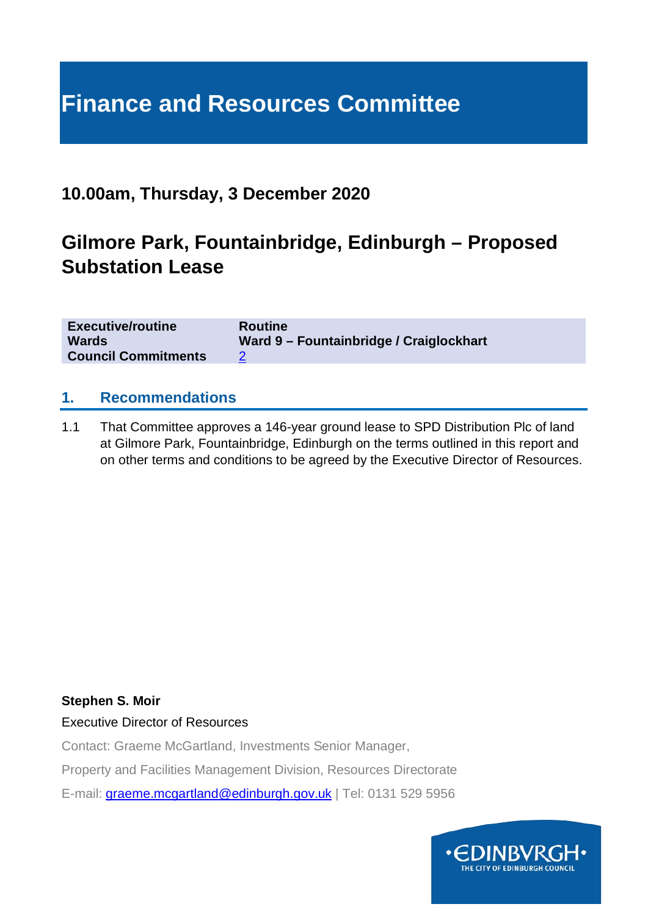# **Finance and Resources Committee**

### **10.00am, Thursday, 3 December 2020**

### **Gilmore Park, Fountainbridge, Edinburgh – Proposed Substation Lease**

| <b>Executive/routine</b><br><b>Routine</b><br><b>Wards</b><br><b>Council Commitments</b> | Ward 9 - Fountainbridge / Craiglockhart |
|------------------------------------------------------------------------------------------|-----------------------------------------|
|------------------------------------------------------------------------------------------|-----------------------------------------|

#### **1. Recommendations**

1.1 That Committee approves a 146-year ground lease to SPD Distribution Plc of land at Gilmore Park, Fountainbridge, Edinburgh on the terms outlined in this report and on other terms and conditions to be agreed by the Executive Director of Resources.

#### **Stephen S. Moir**

Executive Director of Resources

Contact: Graeme McGartland, Investments Senior Manager,

Property and Facilities Management Division, Resources Directorate

E-mail: [graeme.mcgartland@edinburgh.gov.uk](mailto:graeme.mcgartland@edinburgh.gov.uk) | Tel: 0131 529 5956

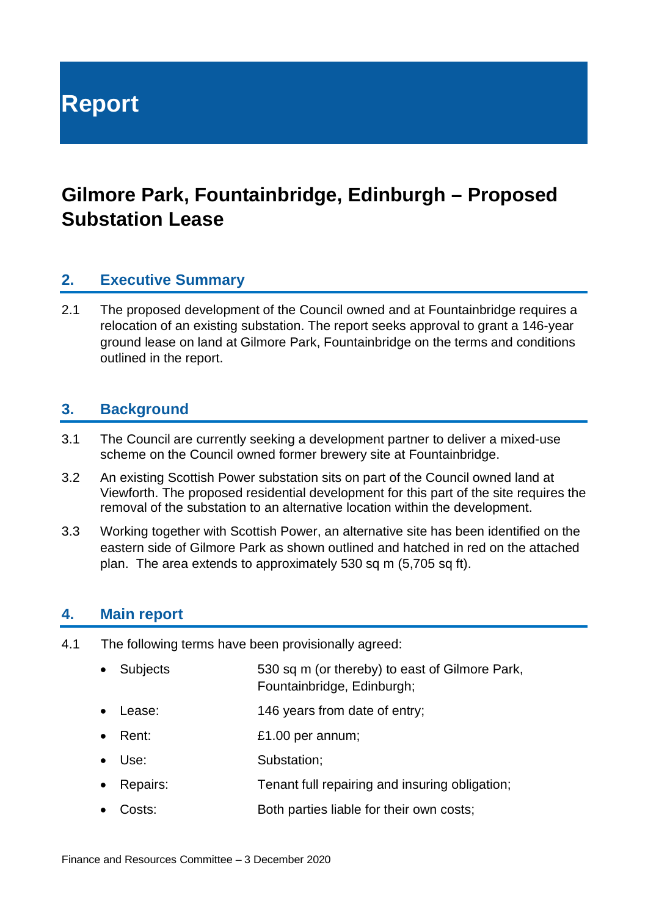**Report**

## **Gilmore Park, Fountainbridge, Edinburgh – Proposed Substation Lease**

#### **2. Executive Summary**

2.1 The proposed development of the Council owned and at Fountainbridge requires a relocation of an existing substation. The report seeks approval to grant a 146-year ground lease on land at Gilmore Park, Fountainbridge on the terms and conditions outlined in the report.

#### **3. Background**

- 3.1 The Council are currently seeking a development partner to deliver a mixed-use scheme on the Council owned former brewery site at Fountainbridge.
- 3.2 An existing Scottish Power substation sits on part of the Council owned land at Viewforth. The proposed residential development for this part of the site requires the removal of the substation to an alternative location within the development.
- 3.3 Working together with Scottish Power, an alternative site has been identified on the eastern side of Gilmore Park as shown outlined and hatched in red on the attached plan. The area extends to approximately 530 sq m (5,705 sq ft).

#### **4. Main report**

- 4.1 The following terms have been provisionally agreed:
	- Subjects 530 sq m (or thereby) to east of Gilmore Park, Fountainbridge, Edinburgh;
	- Lease: 146 years from date of entry;
	- **Parameter 1.00 per annum;**
	- Use: Substation:
	- Repairs: Tenant full repairing and insuring obligation;
	- Costs: Both parties liable for their own costs;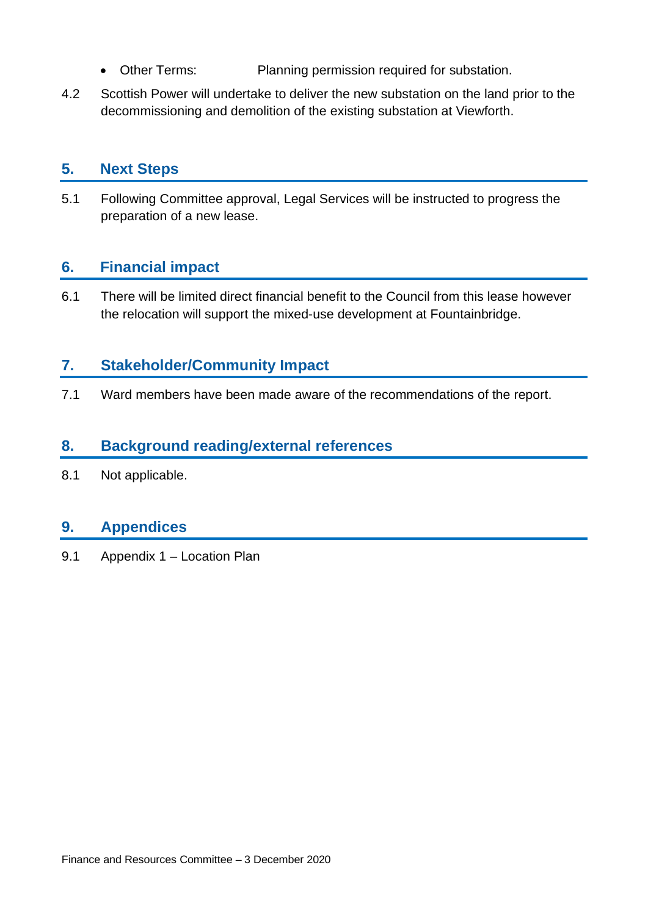- Other Terms: Planning permission required for substation.
- 4.2 Scottish Power will undertake to deliver the new substation on the land prior to the decommissioning and demolition of the existing substation at Viewforth.

#### **5. Next Steps**

5.1 Following Committee approval, Legal Services will be instructed to progress the preparation of a new lease.

#### **6. Financial impact**

6.1 There will be limited direct financial benefit to the Council from this lease however the relocation will support the mixed-use development at Fountainbridge.

#### **7. Stakeholder/Community Impact**

7.1 Ward members have been made aware of the recommendations of the report.

#### **8. Background reading/external references**

8.1 Not applicable.

#### **9. Appendices**

9.1 Appendix 1 – Location Plan